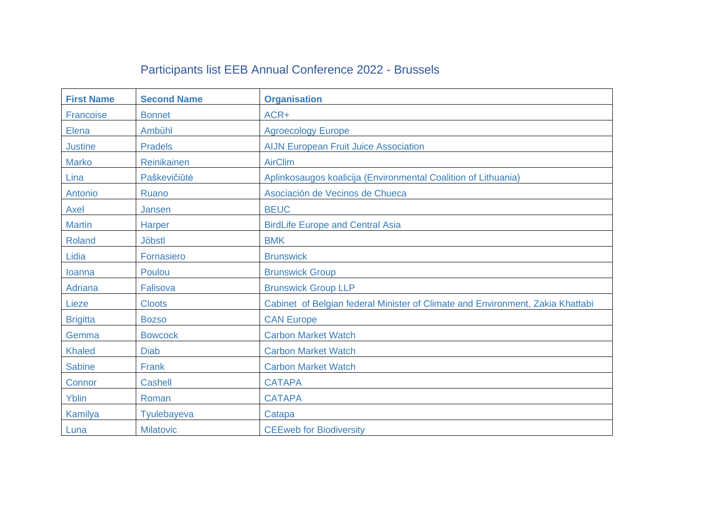## Participants list EEB Annual Conference 2022 - Brussels

| <b>First Name</b> | <b>Second Name</b> | <b>Organisation</b>                                                            |
|-------------------|--------------------|--------------------------------------------------------------------------------|
| Francoise         | <b>Bonnet</b>      | ACR+                                                                           |
| Elena             | Ambühl             | <b>Agroecology Europe</b>                                                      |
| <b>Justine</b>    | <b>Pradels</b>     | <b>AIJN European Fruit Juice Association</b>                                   |
| <b>Marko</b>      | Reinikainen        | <b>AirClim</b>                                                                 |
| Lina              | Paškevičiūtė       | Aplinkosaugos koalicija (Environmental Coalition of Lithuania)                 |
| Antonio           | Ruano              | Asociación de Vecinos de Chueca                                                |
| Axel              | Jansen             | <b>BEUC</b>                                                                    |
| <b>Martin</b>     | <b>Harper</b>      | <b>BirdLife Europe and Central Asia</b>                                        |
| Roland            | <b>Jöbstl</b>      | <b>BMK</b>                                                                     |
| Lidia             | Fornasiero         | <b>Brunswick</b>                                                               |
| Ioanna            | Poulou             | <b>Brunswick Group</b>                                                         |
| <b>Adriana</b>    | Falisova           | <b>Brunswick Group LLP</b>                                                     |
| Lieze             | <b>Cloots</b>      | Cabinet of Belgian federal Minister of Climate and Environment, Zakia Khattabi |
| <b>Brigitta</b>   | <b>Bozso</b>       | <b>CAN Europe</b>                                                              |
| Gemma             | <b>Bowcock</b>     | <b>Carbon Market Watch</b>                                                     |
| <b>Khaled</b>     | <b>Diab</b>        | <b>Carbon Market Watch</b>                                                     |
| <b>Sabine</b>     | Frank              | <b>Carbon Market Watch</b>                                                     |
| Connor            | <b>Cashell</b>     | <b>CATAPA</b>                                                                  |
| Yblin             | Roman              | <b>CATAPA</b>                                                                  |
| Kamilya           | <b>Tyulebayeva</b> | Catapa                                                                         |
| Luna              | <b>Milatovic</b>   | <b>CEEweb for Biodiversity</b>                                                 |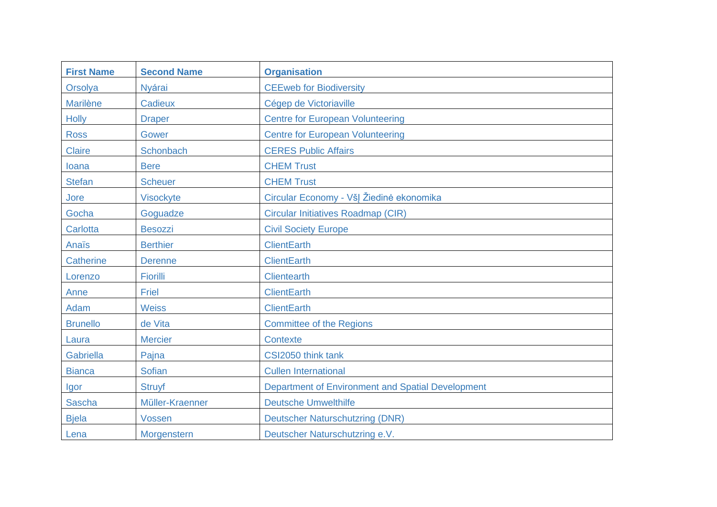| <b>First Name</b> | <b>Second Name</b> | <b>Organisation</b>                               |
|-------------------|--------------------|---------------------------------------------------|
| Orsolya           | <b>Nyárai</b>      | <b>CEEweb for Biodiversity</b>                    |
| <b>Marilène</b>   | Cadieux            | Cégep de Victoriaville                            |
| <b>Holly</b>      | <b>Draper</b>      | <b>Centre for European Volunteering</b>           |
| <b>Ross</b>       | Gower              | <b>Centre for European Volunteering</b>           |
| <b>Claire</b>     | <b>Schonbach</b>   | <b>CERES Public Affairs</b>                       |
| loana             | <b>Bere</b>        | <b>CHEM Trust</b>                                 |
| <b>Stefan</b>     | <b>Scheuer</b>     | <b>CHEM Trust</b>                                 |
| Jore              | <b>Visockyte</b>   | Circular Economy - VšĮ Žiedinė ekonomika          |
| Gocha             | Goguadze           | <b>Circular Initiatives Roadmap (CIR)</b>         |
| <b>Carlotta</b>   | <b>Besozzi</b>     | <b>Civil Society Europe</b>                       |
| Anaïs             | <b>Berthier</b>    | <b>ClientEarth</b>                                |
| Catherine         | <b>Derenne</b>     | <b>ClientEarth</b>                                |
| Lorenzo           | Fiorilli           | <b>Clientearth</b>                                |
| Anne              | Friel              | <b>ClientEarth</b>                                |
| Adam              | <b>Weiss</b>       | <b>ClientEarth</b>                                |
| <b>Brunello</b>   | de Vita            | <b>Committee of the Regions</b>                   |
| Laura             | <b>Mercier</b>     | <b>Contexte</b>                                   |
| Gabriella         | Pajna              | CSI2050 think tank                                |
| <b>Bianca</b>     | <b>Sofian</b>      | <b>Cullen International</b>                       |
| Igor              | <b>Struyf</b>      | Department of Environment and Spatial Development |
| <b>Sascha</b>     | Müller-Kraenner    | <b>Deutsche Umwelthilfe</b>                       |
| <b>Bjela</b>      | <b>Vossen</b>      | <b>Deutscher Naturschutzring (DNR)</b>            |
| Lena              | Morgenstern        | Deutscher Naturschutzring e.V.                    |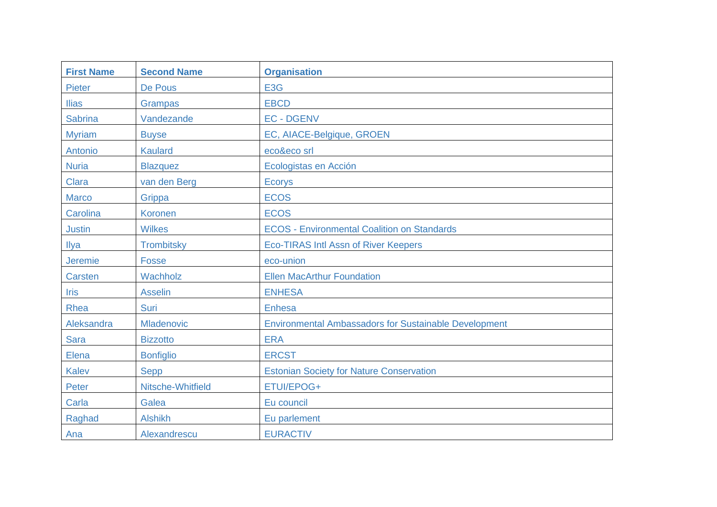| <b>First Name</b> | <b>Second Name</b> | <b>Organisation</b>                                          |
|-------------------|--------------------|--------------------------------------------------------------|
| Pieter            | De Pous            | E <sub>3</sub> G                                             |
| <b>Ilias</b>      | <b>Grampas</b>     | <b>EBCD</b>                                                  |
| <b>Sabrina</b>    | Vandezande         | <b>EC-DGENV</b>                                              |
| <b>Myriam</b>     | <b>Buyse</b>       | EC, AIACE-Belgique, GROEN                                    |
| Antonio           | <b>Kaulard</b>     | eco&eco srl                                                  |
| <b>Nuria</b>      | <b>Blazquez</b>    | Ecologistas en Acción                                        |
| <b>Clara</b>      | van den Berg       | <b>Ecorys</b>                                                |
| <b>Marco</b>      | Grippa             | <b>ECOS</b>                                                  |
| Carolina          | <b>Koronen</b>     | <b>ECOS</b>                                                  |
| <b>Justin</b>     | <b>Wilkes</b>      | <b>ECOS - Environmental Coalition on Standards</b>           |
| Ilya              | <b>Trombitsky</b>  | <b>Eco-TIRAS Intl Assn of River Keepers</b>                  |
| Jeremie           | <b>Fosse</b>       | eco-union                                                    |
| <b>Carsten</b>    | Wachholz           | <b>Ellen MacArthur Foundation</b>                            |
| <b>Iris</b>       | <b>Asselin</b>     | <b>ENHESA</b>                                                |
| Rhea              | Suri               | <b>Enhesa</b>                                                |
| Aleksandra        | Mladenovic         | <b>Environmental Ambassadors for Sustainable Development</b> |
| <b>Sara</b>       | <b>Bizzotto</b>    | <b>ERA</b>                                                   |
| Elena             | <b>Bonfiglio</b>   | <b>ERCST</b>                                                 |
| <b>Kalev</b>      | <b>Sepp</b>        | <b>Estonian Society for Nature Conservation</b>              |
| Peter             | Nitsche-Whitfield  | ETUI/EPOG+                                                   |
| Carla             | Galea              | Eu council                                                   |
| Raghad            | <b>Alshikh</b>     | Eu parlement                                                 |
| Ana               | Alexandrescu       | <b>EURACTIV</b>                                              |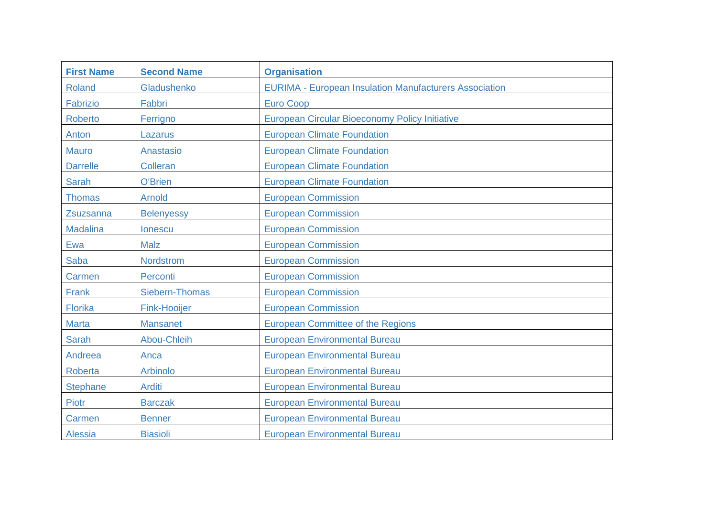| <b>First Name</b> | <b>Second Name</b>    | <b>Organisation</b>                                           |
|-------------------|-----------------------|---------------------------------------------------------------|
| <b>Roland</b>     | Gladushenko           | <b>EURIMA - European Insulation Manufacturers Association</b> |
| Fabrizio          | Fabbri                | <b>Euro Coop</b>                                              |
| <b>Roberto</b>    | Ferrigno              | <b>European Circular Bioeconomy Policy Initiative</b>         |
| Anton             | Lazarus               | <b>European Climate Foundation</b>                            |
| <b>Mauro</b>      | Anastasio             | <b>European Climate Foundation</b>                            |
| <b>Darrelle</b>   | Colleran              | <b>European Climate Foundation</b>                            |
| <b>Sarah</b>      | <b>O'Brien</b>        | <b>European Climate Foundation</b>                            |
| <b>Thomas</b>     | <b>Arnold</b>         | <b>European Commission</b>                                    |
| Zsuzsanna         | <b>Belenyessy</b>     | <b>European Commission</b>                                    |
| <b>Madalina</b>   | lonescu               | <b>European Commission</b>                                    |
| Ewa               | <b>Malz</b>           | <b>European Commission</b>                                    |
| <b>Saba</b>       | <b>Nordstrom</b>      | <b>European Commission</b>                                    |
| Carmen            | Perconti              | <b>European Commission</b>                                    |
| Frank             | <b>Siebern-Thomas</b> | <b>European Commission</b>                                    |
| Florika           | <b>Fink-Hooijer</b>   | <b>European Commission</b>                                    |
| <b>Marta</b>      | <b>Mansanet</b>       | <b>European Committee of the Regions</b>                      |
| <b>Sarah</b>      | Abou-Chleih           | <b>European Environmental Bureau</b>                          |
| Andreea           | Anca                  | <b>European Environmental Bureau</b>                          |
| <b>Roberta</b>    | <b>Arbinolo</b>       | <b>European Environmental Bureau</b>                          |
| <b>Stephane</b>   | <b>Arditi</b>         | <b>European Environmental Bureau</b>                          |
| <b>Piotr</b>      | <b>Barczak</b>        | <b>European Environmental Bureau</b>                          |
| Carmen            | <b>Benner</b>         | <b>European Environmental Bureau</b>                          |
| Alessia           | <b>Biasioli</b>       | <b>European Environmental Bureau</b>                          |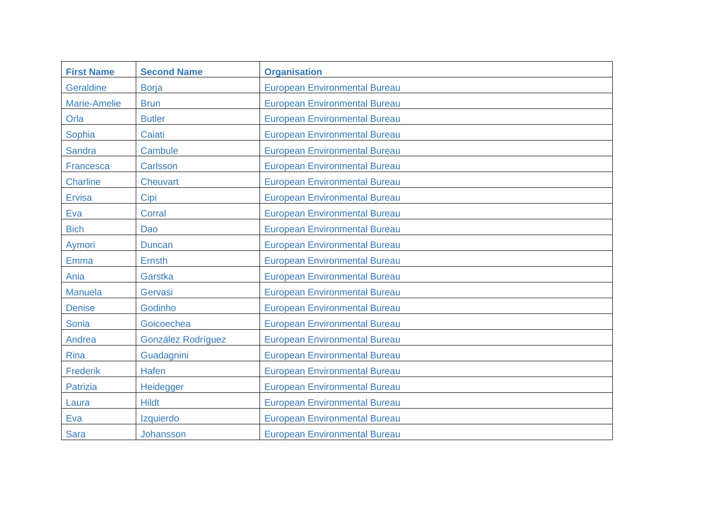| <b>First Name</b> | <b>Second Name</b> | <b>Organisation</b>                  |
|-------------------|--------------------|--------------------------------------|
| Geraldine         | <b>Borja</b>       | <b>European Environmental Bureau</b> |
| Marie-Amelie      | <b>Brun</b>        | <b>European Environmental Bureau</b> |
| Orla              | <b>Butler</b>      | <b>European Environmental Bureau</b> |
| Sophia            | Caiati             | <b>European Environmental Bureau</b> |
| <b>Sandra</b>     | Cambule            | <b>European Environmental Bureau</b> |
| Francesca         | Carlsson           | <b>European Environmental Bureau</b> |
| <b>Charline</b>   | <b>Cheuvart</b>    | <b>European Environmental Bureau</b> |
| <b>Ervisa</b>     | Cipi               | <b>European Environmental Bureau</b> |
| Eva               | <b>Corral</b>      | <b>European Environmental Bureau</b> |
| <b>Bich</b>       | Dao                | <b>European Environmental Bureau</b> |
| Aymori            | <b>Duncan</b>      | <b>European Environmental Bureau</b> |
| Emma              | <b>Ernsth</b>      | <b>European Environmental Bureau</b> |
| Ania              | Garstka            | <b>European Environmental Bureau</b> |
| <b>Manuela</b>    | Gervasi            | <b>European Environmental Bureau</b> |
| <b>Denise</b>     | Godinho            | <b>European Environmental Bureau</b> |
| Sonia             | Goicoechea         | <b>European Environmental Bureau</b> |
| Andrea            | González Rodríguez | <b>European Environmental Bureau</b> |
| <b>Rina</b>       | Guadagnini         | <b>European Environmental Bureau</b> |
| <b>Frederik</b>   | <b>Hafen</b>       | <b>European Environmental Bureau</b> |
| <b>Patrizia</b>   | Heidegger          | <b>European Environmental Bureau</b> |
| Laura             | <b>Hildt</b>       | <b>European Environmental Bureau</b> |
| Eva               | Izquierdo          | <b>European Environmental Bureau</b> |
| <b>Sara</b>       | Johansson          | <b>European Environmental Bureau</b> |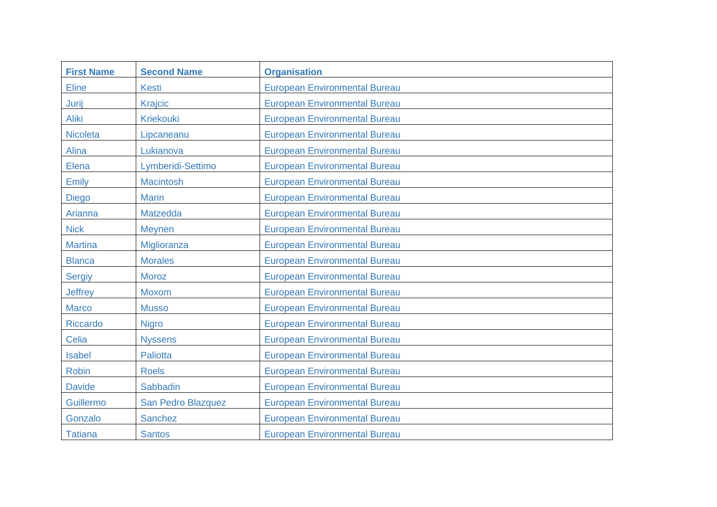| <b>First Name</b> | <b>Second Name</b> | <b>Organisation</b>                  |
|-------------------|--------------------|--------------------------------------|
| <b>Eline</b>      | <b>Kesti</b>       | <b>European Environmental Bureau</b> |
| Jurij             | <b>Krajcic</b>     | <b>European Environmental Bureau</b> |
| <b>Aliki</b>      | <b>Kriekouki</b>   | <b>European Environmental Bureau</b> |
| <b>Nicoleta</b>   | Lipcaneanu         | <b>European Environmental Bureau</b> |
| Alina             | Lukianova          | <b>European Environmental Bureau</b> |
| Elena             | Lymberidi-Settimo  | <b>European Environmental Bureau</b> |
| Emily             | <b>Macintosh</b>   | <b>European Environmental Bureau</b> |
| Diego             | <b>Marin</b>       | <b>European Environmental Bureau</b> |
| Arianna           | <b>Matzedda</b>    | <b>European Environmental Bureau</b> |
| <b>Nick</b>       | <b>Meynen</b>      | <b>European Environmental Bureau</b> |
| <b>Martina</b>    | Miglioranza        | <b>European Environmental Bureau</b> |
| <b>Blanca</b>     | <b>Morales</b>     | <b>European Environmental Bureau</b> |
| <b>Sergiy</b>     | <b>Moroz</b>       | <b>European Environmental Bureau</b> |
| <b>Jeffrey</b>    | <b>Moxom</b>       | <b>European Environmental Bureau</b> |
| <b>Marco</b>      | <b>Musso</b>       | <b>European Environmental Bureau</b> |
| Riccardo          | <b>Nigro</b>       | <b>European Environmental Bureau</b> |
| <b>Celia</b>      | <b>Nyssens</b>     | <b>European Environmental Bureau</b> |
| <b>Isabel</b>     | <b>Paliotta</b>    | <b>European Environmental Bureau</b> |
| <b>Robin</b>      | <b>Roels</b>       | <b>European Environmental Bureau</b> |
| <b>Davide</b>     | <b>Sabbadin</b>    | <b>European Environmental Bureau</b> |
| Guillermo         | San Pedro Blazquez | <b>European Environmental Bureau</b> |
| Gonzalo           | <b>Sanchez</b>     | <b>European Environmental Bureau</b> |
| <b>Tatiana</b>    | <b>Santos</b>      | <b>European Environmental Bureau</b> |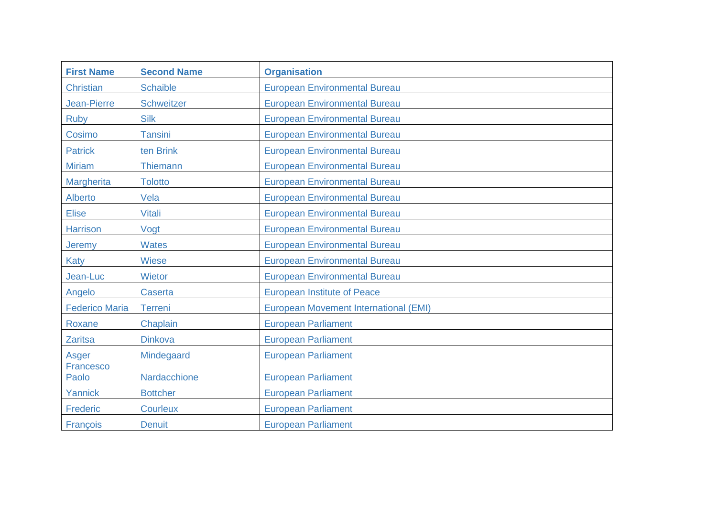| <b>First Name</b>     | <b>Second Name</b> | <b>Organisation</b>                          |
|-----------------------|--------------------|----------------------------------------------|
| <b>Christian</b>      | <b>Schaible</b>    | <b>European Environmental Bureau</b>         |
| <b>Jean-Pierre</b>    | Schweitzer         | <b>European Environmental Bureau</b>         |
| <b>Ruby</b>           | <b>Silk</b>        | <b>European Environmental Bureau</b>         |
| Cosimo                | <b>Tansini</b>     | <b>European Environmental Bureau</b>         |
| <b>Patrick</b>        | ten Brink          | <b>European Environmental Bureau</b>         |
| <b>Miriam</b>         | <b>Thiemann</b>    | <b>European Environmental Bureau</b>         |
| Margherita            | <b>Tolotto</b>     | <b>European Environmental Bureau</b>         |
| Alberto               | Vela               | <b>European Environmental Bureau</b>         |
| <b>Elise</b>          | <b>Vitali</b>      | <b>European Environmental Bureau</b>         |
| <b>Harrison</b>       | Vogt               | <b>European Environmental Bureau</b>         |
| Jeremy                | <b>Wates</b>       | <b>European Environmental Bureau</b>         |
| Katy                  | <b>Wiese</b>       | <b>European Environmental Bureau</b>         |
| Jean-Luc              | <b>Wietor</b>      | <b>European Environmental Bureau</b>         |
| Angelo                | Caserta            | <b>European Institute of Peace</b>           |
| <b>Federico Maria</b> | <b>Terreni</b>     | <b>European Movement International (EMI)</b> |
| Roxane                | Chaplain           | <b>European Parliament</b>                   |
| <b>Zaritsa</b>        | <b>Dinkova</b>     | <b>European Parliament</b>                   |
| Asger                 | Mindegaard         | <b>European Parliament</b>                   |
| Francesco<br>Paolo    | Nardacchione       | <b>European Parliament</b>                   |
| Yannick               | <b>Bottcher</b>    | <b>European Parliament</b>                   |
| Frederic              | <b>Courleux</b>    | <b>European Parliament</b>                   |
| François              | <b>Denuit</b>      | <b>European Parliament</b>                   |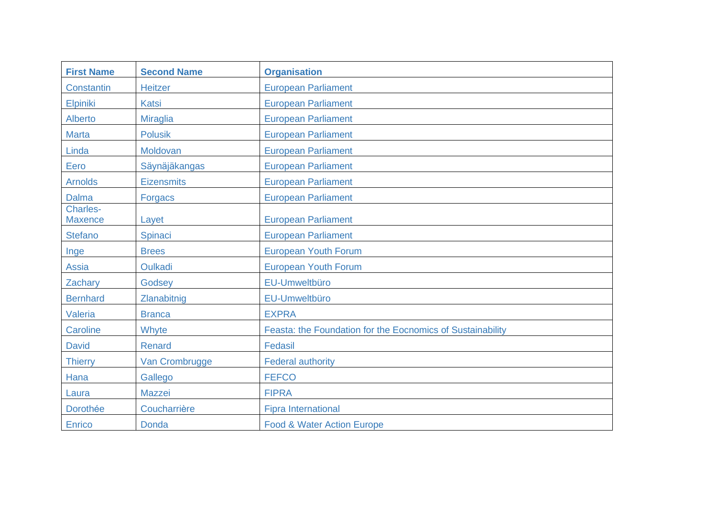| <b>First Name</b>          | <b>Second Name</b> | <b>Organisation</b>                                        |
|----------------------------|--------------------|------------------------------------------------------------|
| Constantin                 | <b>Heitzer</b>     | <b>European Parliament</b>                                 |
| Elpiniki                   | <b>Katsi</b>       | <b>European Parliament</b>                                 |
| Alberto                    | <b>Miraglia</b>    | <b>European Parliament</b>                                 |
| <b>Marta</b>               | <b>Polusik</b>     | <b>European Parliament</b>                                 |
| Linda                      | Moldovan           | <b>European Parliament</b>                                 |
| Eero                       | Säynäjäkangas      | <b>European Parliament</b>                                 |
| <b>Arnolds</b>             | <b>Eizensmits</b>  | <b>European Parliament</b>                                 |
| <b>Dalma</b>               | <b>Forgacs</b>     | <b>European Parliament</b>                                 |
| Charles-<br><b>Maxence</b> | Layet              | <b>European Parliament</b>                                 |
| <b>Stefano</b>             | Spinaci            | <b>European Parliament</b>                                 |
| Inge                       | <b>Brees</b>       | <b>European Youth Forum</b>                                |
| <b>Assia</b>               | <b>Oulkadi</b>     | <b>European Youth Forum</b>                                |
| Zachary                    | Godsey             | EU-Umweltbüro                                              |
| <b>Bernhard</b>            | Zlanabitnig        | EU-Umweltbüro                                              |
| <b>Valeria</b>             | <b>Branca</b>      | <b>EXPRA</b>                                               |
| Caroline                   | Whyte              | Feasta: the Foundation for the Eocnomics of Sustainability |
| <b>David</b>               | Renard             | Fedasil                                                    |
| <b>Thierry</b>             | Van Crombrugge     | <b>Federal authority</b>                                   |
| Hana                       | Gallego            | <b>FEFCO</b>                                               |
| Laura                      | <b>Mazzei</b>      | <b>FIPRA</b>                                               |
| Dorothée                   | Coucharrière       | <b>Fipra International</b>                                 |
| Enrico                     | <b>Donda</b>       | <b>Food &amp; Water Action Europe</b>                      |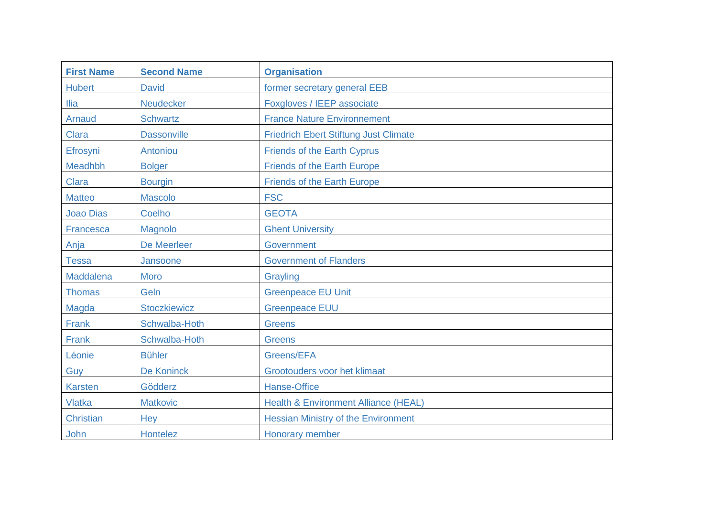| <b>First Name</b> | <b>Second Name</b>  | <b>Organisation</b>                             |
|-------------------|---------------------|-------------------------------------------------|
| <b>Hubert</b>     | <b>David</b>        | former secretary general EEB                    |
| <b>Ilia</b>       | <b>Neudecker</b>    | Foxgloves / IEEP associate                      |
| Arnaud            | <b>Schwartz</b>     | <b>France Nature Environnement</b>              |
| <b>Clara</b>      | <b>Dassonville</b>  | <b>Friedrich Ebert Stiftung Just Climate</b>    |
| Efrosyni          | Antoniou            | <b>Friends of the Earth Cyprus</b>              |
| Meadhbh           | <b>Bolger</b>       | <b>Friends of the Earth Europe</b>              |
| <b>Clara</b>      | <b>Bourgin</b>      | <b>Friends of the Earth Europe</b>              |
| <b>Matteo</b>     | <b>Mascolo</b>      | <b>FSC</b>                                      |
| <b>Joao Dias</b>  | <b>Coelho</b>       | <b>GEOTA</b>                                    |
| Francesca         | Magnolo             | <b>Ghent University</b>                         |
| Anja              | <b>De Meerleer</b>  | <b>Government</b>                               |
| <b>Tessa</b>      | Jansoone            | <b>Government of Flanders</b>                   |
| Maddalena         | <b>Moro</b>         | Grayling                                        |
| <b>Thomas</b>     | Geln                | <b>Greenpeace EU Unit</b>                       |
| Magda             | <b>Stoczkiewicz</b> | <b>Greenpeace EUU</b>                           |
| Frank             | Schwalba-Hoth       | <b>Greens</b>                                   |
| Frank             | Schwalba-Hoth       | <b>Greens</b>                                   |
| Léonie            | <b>Bühler</b>       | Greens/EFA                                      |
| Guy               | De Koninck          | Grootouders voor het klimaat                    |
| <b>Karsten</b>    | Gödderz             | <b>Hanse-Office</b>                             |
| <b>Vlatka</b>     | <b>Matkovic</b>     | <b>Health &amp; Environment Alliance (HEAL)</b> |
| <b>Christian</b>  | Hey                 | <b>Hessian Ministry of the Environment</b>      |
| John              | <b>Hontelez</b>     | <b>Honorary member</b>                          |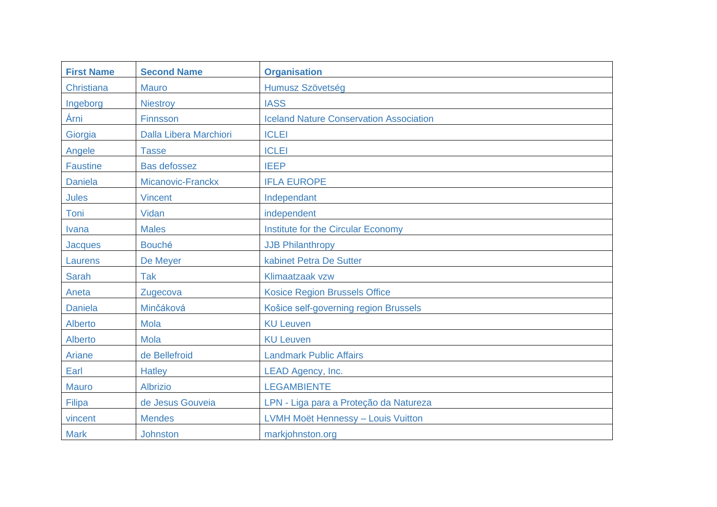| <b>First Name</b> | <b>Second Name</b>            | <b>Organisation</b>                            |
|-------------------|-------------------------------|------------------------------------------------|
| Christiana        | <b>Mauro</b>                  | Humusz Szövetség                               |
| Ingeborg          | <b>Niestroy</b>               | <b>IASS</b>                                    |
| Árni              | Finnsson                      | <b>Iceland Nature Conservation Association</b> |
| Giorgia           | <b>Dalla Libera Marchiori</b> | <b>ICLEI</b>                                   |
| Angele            | <b>Tasse</b>                  | <b>ICLEI</b>                                   |
| <b>Faustine</b>   | <b>Bas defossez</b>           | <b>IEEP</b>                                    |
| <b>Daniela</b>    | Micanovic-Franckx             | <b>IFLA EUROPE</b>                             |
| <b>Jules</b>      | <b>Vincent</b>                | Independant                                    |
| Toni              | Vidan                         | independent                                    |
| <b>Ivana</b>      | <b>Males</b>                  | <b>Institute for the Circular Economy</b>      |
| <b>Jacques</b>    | <b>Bouché</b>                 | <b>JJB Philanthropy</b>                        |
| Laurens           | De Meyer                      | kabinet Petra De Sutter                        |
| <b>Sarah</b>      | Tak                           | Klimaatzaak vzw                                |
| Aneta             | Zugecova                      | <b>Kosice Region Brussels Office</b>           |
| <b>Daniela</b>    | Minčáková                     | Košice self-governing region Brussels          |
| <b>Alberto</b>    | <b>Mola</b>                   | <b>KU Leuven</b>                               |
| Alberto           | <b>Mola</b>                   | <b>KU Leuven</b>                               |
| Ariane            | de Bellefroid                 | <b>Landmark Public Affairs</b>                 |
| Earl              | <b>Hatley</b>                 | LEAD Agency, Inc.                              |
| <b>Mauro</b>      | <b>Albrizio</b>               | <b>LEGAMBIENTE</b>                             |
| Filipa            | de Jesus Gouveia              | LPN - Liga para a Proteção da Natureza         |
| vincent           | <b>Mendes</b>                 | LVMH Moët Hennessy - Louis Vuitton             |
| <b>Mark</b>       | <b>Johnston</b>               | markjohnston.org                               |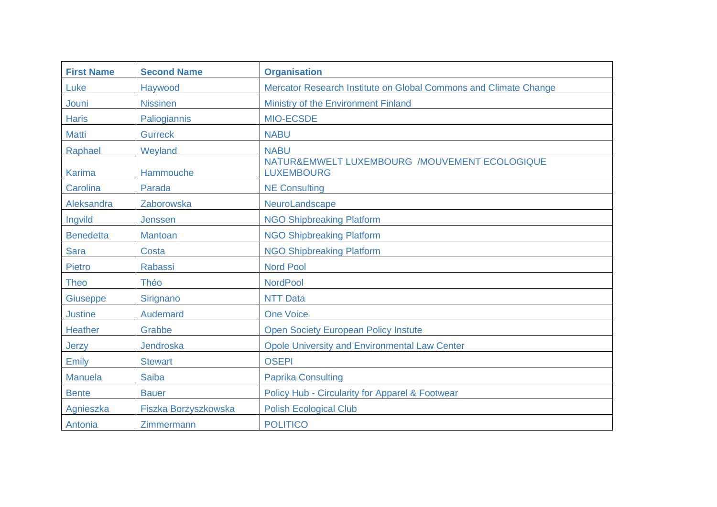| <b>First Name</b> | <b>Second Name</b>   | <b>Organisation</b>                                                |
|-------------------|----------------------|--------------------------------------------------------------------|
| Luke              | Haywood              | Mercator Research Institute on Global Commons and Climate Change   |
| Jouni             | <b>Nissinen</b>      | Ministry of the Environment Finland                                |
| <b>Haris</b>      | Paliogiannis         | <b>MIO-ECSDE</b>                                                   |
| <b>Matti</b>      | <b>Gurreck</b>       | <b>NABU</b>                                                        |
| Raphael           | Weyland              | <b>NABU</b>                                                        |
| <b>Karima</b>     | Hammouche            | NATUR&EMWELT LUXEMBOURG /MOUVEMENT ECOLOGIQUE<br><b>LUXEMBOURG</b> |
| Carolina          | Parada               | <b>NE Consulting</b>                                               |
| Aleksandra        | Zaborowska           | NeuroLandscape                                                     |
| Ingvild           | <b>Jenssen</b>       | <b>NGO Shipbreaking Platform</b>                                   |
| <b>Benedetta</b>  | <b>Mantoan</b>       | <b>NGO Shipbreaking Platform</b>                                   |
| <b>Sara</b>       | Costa                | <b>NGO Shipbreaking Platform</b>                                   |
| <b>Pietro</b>     | <b>Rabassi</b>       | <b>Nord Pool</b>                                                   |
| <b>Theo</b>       | Théo                 | <b>NordPool</b>                                                    |
| <b>Giuseppe</b>   | Sirignano            | <b>NTT Data</b>                                                    |
| <b>Justine</b>    | Audemard             | <b>One Voice</b>                                                   |
| <b>Heather</b>    | Grabbe               | <b>Open Society European Policy Instute</b>                        |
| Jerzy             | Jendroska            | <b>Opole University and Environmental Law Center</b>               |
| Emily             | <b>Stewart</b>       | <b>OSEPI</b>                                                       |
| <b>Manuela</b>    | <b>Saiba</b>         | <b>Paprika Consulting</b>                                          |
| <b>Bente</b>      | <b>Bauer</b>         | Policy Hub - Circularity for Apparel & Footwear                    |
| Agnieszka         | Fiszka Borzyszkowska | <b>Polish Ecological Club</b>                                      |
| Antonia           | Zimmermann           | <b>POLITICO</b>                                                    |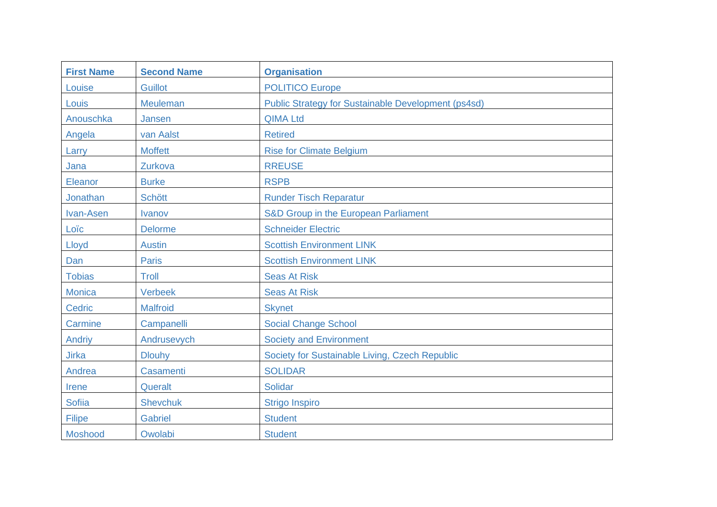| <b>First Name</b> | <b>Second Name</b> | <b>Organisation</b>                                        |
|-------------------|--------------------|------------------------------------------------------------|
| Louise            | <b>Guillot</b>     | <b>POLITICO Europe</b>                                     |
| Louis             | <b>Meuleman</b>    | <b>Public Strategy for Sustainable Development (ps4sd)</b> |
| Anouschka         | Jansen             | <b>QIMA Ltd</b>                                            |
| Angela            | van Aalst          | <b>Retired</b>                                             |
| Larry             | <b>Moffett</b>     | <b>Rise for Climate Belgium</b>                            |
| Jana              | Zurkova            | <b>RREUSE</b>                                              |
| Eleanor           | <b>Burke</b>       | <b>RSPB</b>                                                |
| Jonathan          | <b>Schött</b>      | <b>Runder Tisch Reparatur</b>                              |
| Ivan-Asen         | <b>Ivanov</b>      | S&D Group in the European Parliament                       |
| Loïc              | <b>Delorme</b>     | <b>Schneider Electric</b>                                  |
| Lloyd             | <b>Austin</b>      | <b>Scottish Environment LINK</b>                           |
| Dan               | <b>Paris</b>       | <b>Scottish Environment LINK</b>                           |
| <b>Tobias</b>     | Troll              | <b>Seas At Risk</b>                                        |
| <b>Monica</b>     | <b>Verbeek</b>     | <b>Seas At Risk</b>                                        |
| <b>Cedric</b>     | <b>Malfroid</b>    | <b>Skynet</b>                                              |
| Carmine           | Campanelli         | <b>Social Change School</b>                                |
| Andriy            | Andrusevych        | <b>Society and Environment</b>                             |
| <b>Jirka</b>      | <b>Dlouhy</b>      | Society for Sustainable Living, Czech Republic             |
| Andrea            | <b>Casamenti</b>   | <b>SOLIDAR</b>                                             |
| Irene             | Queralt            | <b>Solidar</b>                                             |
| <b>Sofiia</b>     | <b>Shevchuk</b>    | <b>Strigo Inspiro</b>                                      |
| <b>Filipe</b>     | <b>Gabriel</b>     | <b>Student</b>                                             |
| Moshood           | Owolabi            | <b>Student</b>                                             |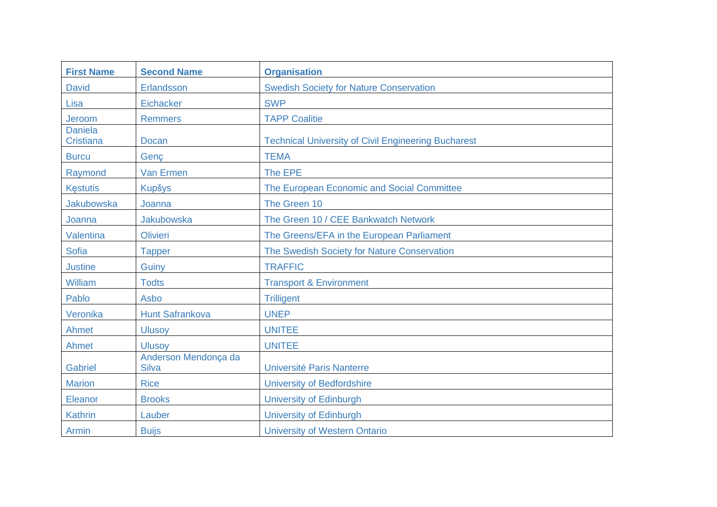| <b>First Name</b>                  | <b>Second Name</b>                   | <b>Organisation</b>                                        |
|------------------------------------|--------------------------------------|------------------------------------------------------------|
| <b>David</b>                       | Erlandsson                           | <b>Swedish Society for Nature Conservation</b>             |
| Lisa                               | Eichacker                            | <b>SWP</b>                                                 |
| Jeroom                             | <b>Remmers</b>                       | <b>TAPP Coalitie</b>                                       |
| <b>Daniela</b><br><b>Cristiana</b> | <b>Docan</b>                         | <b>Technical University of Civil Engineering Bucharest</b> |
| <b>Burcu</b>                       | Genç                                 | <b>TEMA</b>                                                |
| Raymond                            | <b>Van Ermen</b>                     | The EPE                                                    |
| <b>Kestutis</b>                    | <b>Kupšys</b>                        | The European Economic and Social Committee                 |
| Jakubowska                         | Joanna                               | The Green 10                                               |
| Joanna                             | <b>Jakubowska</b>                    | The Green 10 / CEE Bankwatch Network                       |
| Valentina                          | <b>Olivieri</b>                      | The Greens/EFA in the European Parliament                  |
| <b>Sofia</b>                       | <b>Tapper</b>                        | The Swedish Society for Nature Conservation                |
| <b>Justine</b>                     | Guiny                                | <b>TRAFFIC</b>                                             |
| William                            | <b>Todts</b>                         | <b>Transport &amp; Environment</b>                         |
| Pablo                              | Asbo                                 | <b>Trilligent</b>                                          |
| Veronika                           | <b>Hunt Safrankova</b>               | <b>UNEP</b>                                                |
| Ahmet                              | <b>Ulusoy</b>                        | <b>UNITEE</b>                                              |
| Ahmet                              | <b>Ulusov</b>                        | <b>UNITEE</b>                                              |
| <b>Gabriel</b>                     | Anderson Mendonça da<br><b>Silva</b> | Université Paris Nanterre                                  |
| <b>Marion</b>                      | <b>Rice</b>                          | <b>University of Bedfordshire</b>                          |
| Eleanor                            | <b>Brooks</b>                        | <b>University of Edinburgh</b>                             |
| Kathrin                            | Lauber                               | <b>University of Edinburgh</b>                             |
| <b>Armin</b>                       | <b>Buijs</b>                         | <b>University of Western Ontario</b>                       |